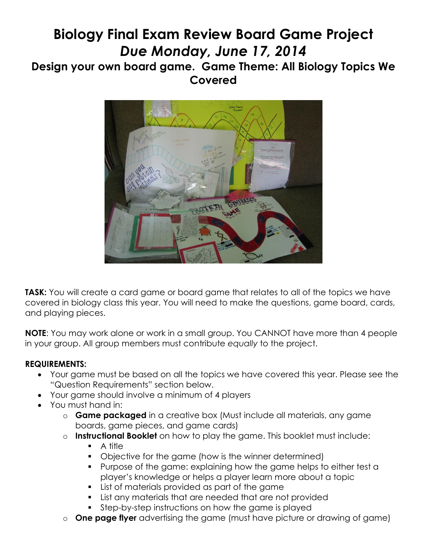# **Biology Final Exam Review Board Game Project** *Due Monday, June 17, 2014*

# **Design your own board game. Game Theme: All Biology Topics We Covered**



**TASK:** You will create a card game or board game that relates to all of the topics we have covered in biology class this year. You will need to make the questions, game board, cards, and playing pieces.

**NOTE**: You may work alone or work in a small group. You CANNOT have more than 4 people in your group. All group members must contribute *equally* to the project.

# **REQUIREMENTS:**

- Your game must be based on all the topics we have covered this year. Please see the "Question Requirements" section below.
- Your game should involve a minimum of 4 players
- You must hand in:
	- o **Game packaged** in a creative box (Must include all materials, any game boards, game pieces, and game cards)
	- o **Instructional Booklet** on how to play the game. This booklet must include:
		- $\blacksquare$  A title
		- Objective for the game (how is the winner determined)
		- **Purpose of the game: explaining how the game helps to either test a** player's knowledge or helps a player learn more about a topic
		- **List of materials provided as part of the game**
		- List any materials that are needed that are not provided
		- Step-by-step instructions on how the game is played
	- o **One page flyer** advertising the game (must have picture or drawing of game)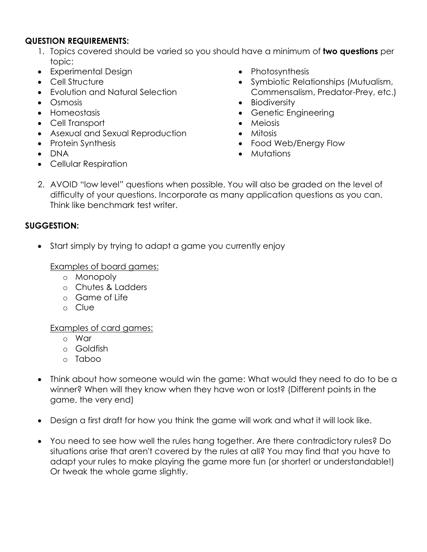## **QUESTION REQUIREMENTS:**

- 1. Topics covered should be varied so you should have a minimum of **two questions** per topic:
- Experimental Design
- Cell Structure
- Evolution and Natural Selection
- Osmosis
- Homeostasis
- Cell Transport
- Asexual and Sexual Reproduction
- Protein Synthesis
- DNA
- Cellular Respiration
- Photosynthesis
- Symbiotic Relationships (Mutualism, Commensalism, Predator-Prey, etc.)
- Biodiversity
- Genetic Engineering
- Meiosis
- Mitosis
- Food Web/Energy Flow
- Mutations
- 2. AVOID "low level" questions when possible. You will also be graded on the level of difficulty of your questions. Incorporate as many application questions as you can. Think like benchmark test writer.

# **SUGGESTION:**

Start simply by trying to adapt a game you currently enjoy

Examples of board games:

- o Monopoly
- o Chutes & Ladders
- o Game of Life
- o Clue

## Examples of card games:

- o War
- o Goldfish
- o Taboo
- Think about how someone would win the game: What would they need to do to be a winner? When will they know when they have won or lost? (Different points in the game, the very end)
- Design a first draft for how you think the game will work and what it will look like.
- You need to see how well the rules hang together. Are there contradictory rules? Do situations arise that aren't covered by the rules at all? You may find that you have to adapt your rules to make playing the game more fun (or shorter! or understandable!) Or tweak the whole game slightly.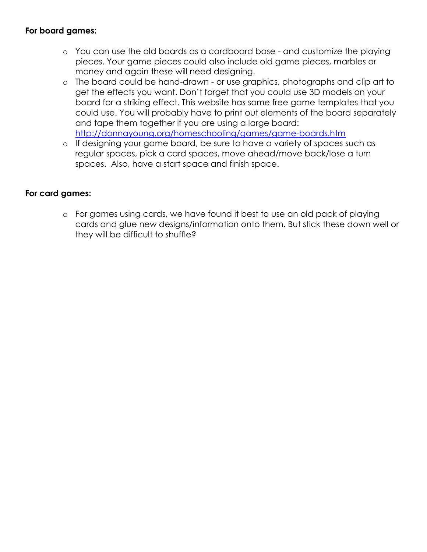## **For board games:**

- o You can use the old boards as a cardboard base and customize the playing pieces. Your game pieces could also include old game pieces, marbles or money and again these will need designing.
- o The board could be hand-drawn or use graphics, photographs and clip art to get the effects you want. Don't forget that you could use 3D models on your board for a striking effect. This website has some free game templates that you could use. You will probably have to print out elements of the board separately and tape them together if you are using a large board: <http://donnayoung.org/homeschooling/games/game-boards.htm>
- o If designing your game board, be sure to have a variety of spaces such as regular spaces, pick a card spaces, move ahead/move back/lose a turn spaces. Also, have a start space and finish space.

# **For card games:**

o For games using cards, we have found it best to use an old pack of playing cards and glue new designs/information onto them. But stick these down well or they will be difficult to shuffle?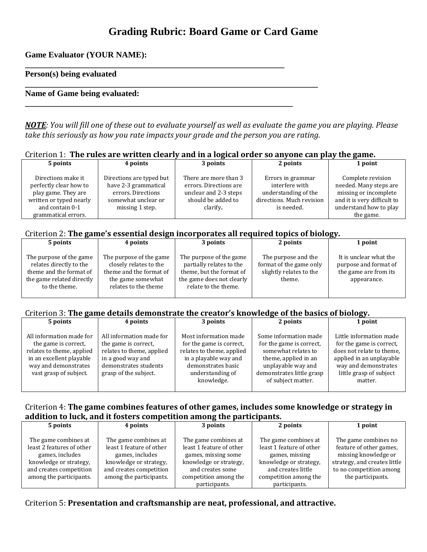# **Grading Rubric: Board Game or Card Game**

**Game Evaluator (YOUR NAME):** 

#### **Person(s) being evaluated**

#### **Name of Game being evaluated:**

*NOTE: You will fill one of these out to evaluate yourself as well as evaluate the game you are playing. Please take this seriously as how you rate impacts your grade and the person you are rating.*

| Criterion 1: The rules are written clearly and in a logical order so anyone can play the game. |  |  |
|------------------------------------------------------------------------------------------------|--|--|
|                                                                                                |  |  |

|                                                                                                                                          |                                                                                                                  |                                                                                                            |                                                                                                        | $\sim$ $\sim$ $\sim$                                                                                                                       |
|------------------------------------------------------------------------------------------------------------------------------------------|------------------------------------------------------------------------------------------------------------------|------------------------------------------------------------------------------------------------------------|--------------------------------------------------------------------------------------------------------|--------------------------------------------------------------------------------------------------------------------------------------------|
| 5 points                                                                                                                                 | 4 points                                                                                                         | 3 points                                                                                                   | 2 points                                                                                               | 1 point                                                                                                                                    |
| Directions make it<br>perfectly clear how to<br>play game. They are<br>written or typed nearly<br>and contain 0-1<br>grammatical errors. | Directions are typed but<br>have 2-3 grammatical<br>errors. Directions<br>somewhat unclear or<br>missing 1 step. | There are more than 3<br>errors. Directions are<br>unclear and 2-3 steps<br>should be added to<br>clarify. | Errors in grammar<br>interfere with<br>understanding of the<br>directions. Much revision<br>is needed. | Complete revision<br>needed. Many steps are<br>missing or incomplete<br>and it is very difficult to<br>understand how to play<br>the game. |

#### Criterion 2: **The game's essential design incorporates all required topics of biology.**

**\_\_\_\_\_\_\_\_\_\_\_\_\_\_\_\_\_\_\_\_\_\_\_\_\_\_\_\_\_\_\_\_\_\_\_\_\_\_\_\_\_\_\_\_\_\_\_\_\_\_\_\_\_\_\_\_\_\_\_\_\_\_**

**\_\_\_\_\_\_\_\_\_\_\_\_\_\_\_\_\_\_\_\_\_\_\_\_\_\_\_\_\_\_\_\_\_\_\_\_\_\_\_\_\_\_\_\_\_\_\_\_\_\_\_\_\_\_\_\_\_\_\_\_\_\_\_\_**

**\_\_\_\_\_\_\_\_\_\_\_\_\_\_\_\_\_\_\_\_\_\_\_\_\_\_\_\_\_\_\_\_\_\_\_\_\_\_\_\_\_\_\_\_\_\_\_\_\_\_\_\_\_\_\_\_\_\_\_\_\_\_\_\_\_\_\_\_\_\_**

| 5 points                                                                                                                    | 4 points                                                                                                                   | 3 points                                                                                                                             | 2 points                                                                            | 1 point                                                                                 |
|-----------------------------------------------------------------------------------------------------------------------------|----------------------------------------------------------------------------------------------------------------------------|--------------------------------------------------------------------------------------------------------------------------------------|-------------------------------------------------------------------------------------|-----------------------------------------------------------------------------------------|
| The purpose of the game<br>relates directly to the<br>theme and the format of<br>the game related directly<br>to the theme. | The purpose of the game.<br>closely relates to the<br>theme and the format of<br>the game somewhat<br>relates to the theme | The purpose of the game<br>partially relates to the<br>theme, but the format of<br>the game does not clearly<br>relate to the theme. | The purpose and the<br>format of the game only<br>slightly relates to the<br>theme. | It is unclear what the<br>purpose and format of<br>the game are from its<br>appearance. |

#### Criterion 3: **The game details demonstrate the creator's knowledge of the basics of biology.**

| 1 point<br>5 points<br>2 points<br>3 points<br>4 points                                                                                                                                                                                                                                                                                                                                                                                                                                                                                                                                                                                                                        |  | . . |                                                                                                                                                                 |  |
|--------------------------------------------------------------------------------------------------------------------------------------------------------------------------------------------------------------------------------------------------------------------------------------------------------------------------------------------------------------------------------------------------------------------------------------------------------------------------------------------------------------------------------------------------------------------------------------------------------------------------------------------------------------------------------|--|-----|-----------------------------------------------------------------------------------------------------------------------------------------------------------------|--|
|                                                                                                                                                                                                                                                                                                                                                                                                                                                                                                                                                                                                                                                                                |  |     |                                                                                                                                                                 |  |
| Some information made<br>All information made for<br>All information made for<br>Most information made<br>for the game is correct.<br>for the game is correct,<br>the game is correct.<br>the game is correct.<br>relates to theme, applied<br>relates to theme, applied<br>relates to theme, applied<br>somewhat relates to<br>in a playable way and<br>in an excellent playable<br>in a good way and<br>theme, applied in an<br>demonstrates basic<br>demonstrates students<br>way and demonstrates<br>unplayable way and<br>demonstrates little grasp<br>vast grasp of subject.<br>grasp of the subject.<br>understanding of<br>knowledge.<br>of subject matter.<br>matter. |  |     | Little information made<br>for the game is correct.<br>does not relate to theme,<br>applied in an unplayable<br>way and demonstrates<br>little grasp of subject |  |

#### Criterion 4: **The game combines features of other games, includes some knowledge or strategy in addition to luck, and it fosters competition among the participants.**

| 5 points                                                                                                                  | 4 points                                                                                                                 | 3 points                                                                                                              | 2 points                                                                                                           | 1 point                                                                                                                            |
|---------------------------------------------------------------------------------------------------------------------------|--------------------------------------------------------------------------------------------------------------------------|-----------------------------------------------------------------------------------------------------------------------|--------------------------------------------------------------------------------------------------------------------|------------------------------------------------------------------------------------------------------------------------------------|
| The game combines at<br>least 2 features of other<br>games, includes<br>knowledge or strategy,<br>and creates competition | The game combines at<br>least 1 feature of other<br>games, includes<br>knowledge or strategy,<br>and creates competition | The game combines at<br>least 1 feature of other<br>games, missing some<br>knowledge or strategy,<br>and creates some | The game combines at<br>least 1 feature of other<br>games, missing<br>knowledge or strategy,<br>and creates little | The game combines no<br>feature of other games,<br>missing knowledge or<br>strategy, and creates little<br>to no competition among |
| among the participants.                                                                                                   | among the participants.                                                                                                  | competition among the                                                                                                 | competition among the                                                                                              | the participants.                                                                                                                  |
|                                                                                                                           |                                                                                                                          |                                                                                                                       |                                                                                                                    |                                                                                                                                    |
|                                                                                                                           |                                                                                                                          | participants.                                                                                                         | participants.                                                                                                      |                                                                                                                                    |

#### Criterion 5: **Presentation and craftsmanship are neat, professional, and attractive.**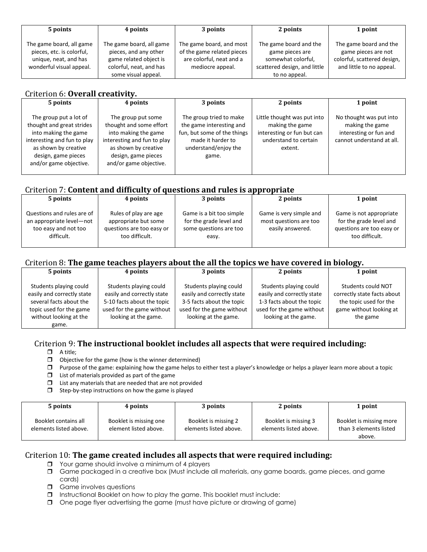| 5 points                                                                                                   | 4 points                                                                                                                      | 3 points                                                                                               | 2 points                                                                                                         | 1 point                                                                                                  |
|------------------------------------------------------------------------------------------------------------|-------------------------------------------------------------------------------------------------------------------------------|--------------------------------------------------------------------------------------------------------|------------------------------------------------------------------------------------------------------------------|----------------------------------------------------------------------------------------------------------|
| The game board, all game<br>pieces, etc. is colorful,<br>unique, neat, and has<br>wonderful visual appeal. | The game board, all game<br>pieces, and any other<br>game related object is<br>colorful, neat, and has<br>some visual appeal. | The game board, and most<br>of the game related pieces<br>are colorful, neat and a<br>mediocre appeal. | The game board and the<br>game pieces are<br>somewhat colorful,<br>scattered design, and little<br>to no appeal. | The game board and the<br>game pieces are not<br>colorful, scattered design,<br>and little to no appeal. |

#### Criterion 6: **Overall creativity.**

| 5 points                                                                                                                                                                            | 4 points                                                                                                                                                                      | 3 points                                                                                                                                 | 2 points                                                                                                         | 1 point                                                                                           |
|-------------------------------------------------------------------------------------------------------------------------------------------------------------------------------------|-------------------------------------------------------------------------------------------------------------------------------------------------------------------------------|------------------------------------------------------------------------------------------------------------------------------------------|------------------------------------------------------------------------------------------------------------------|---------------------------------------------------------------------------------------------------|
| The group put a lot of<br>thought and great strides<br>into making the game<br>interesting and fun to play<br>as shown by creative<br>design, game pieces<br>and/or game objective. | The group put some<br>thought and some effort<br>into making the game<br>interesting and fun to play<br>as shown by creative<br>design, game pieces<br>and/or game objective. | The group tried to make<br>the game interesting and<br>fun, but some of the things<br>made it harder to<br>understand/enjoy the<br>game. | Little thought was put into<br>making the game<br>interesting or fun but can<br>understand to certain<br>extent. | No thought was put into<br>making the game<br>interesting or fun and<br>cannot understand at all. |

### Criterion 7: **Content and difficulty of questions and rules is appropriate**

| 5 points                                                                                     | 4 points                                                                                     | 3 points                                                                               | 2 points                                                              | 1 point                                                                                           |  |  |
|----------------------------------------------------------------------------------------------|----------------------------------------------------------------------------------------------|----------------------------------------------------------------------------------------|-----------------------------------------------------------------------|---------------------------------------------------------------------------------------------------|--|--|
| Questions and rules are of<br>an appropriate level-not<br>too easy and not too<br>difficult. | Rules of play are age<br>appropriate but some<br>questions are too easy or<br>too difficult. | Game is a bit too simple<br>for the grade level and<br>some questions are too<br>easy. | Game is very simple and<br>most questions are too<br>easily answered. | Game is not appropriate<br>for the grade level and<br>questions are too easy or<br>too difficult. |  |  |

#### Criterion 8: **The game teaches players about the all the topics we have covered in biology.**

| 5 points                                                                                                                                      | 4 points                                                                                                                                | 3 points                                                                                                                               | 2 points                                                                                                                               | 1 point                                                                                                            |
|-----------------------------------------------------------------------------------------------------------------------------------------------|-----------------------------------------------------------------------------------------------------------------------------------------|----------------------------------------------------------------------------------------------------------------------------------------|----------------------------------------------------------------------------------------------------------------------------------------|--------------------------------------------------------------------------------------------------------------------|
| Students playing could<br>easily and correctly state<br>several facts about the<br>topic used for the game<br>without looking at the<br>game. | Students playing could<br>easily and correctly state<br>5-10 facts about the topic<br>used for the game without<br>looking at the game. | Students playing could<br>easily and correctly state<br>3-5 facts about the topic<br>used for the game without<br>looking at the game. | Students playing could<br>easily and correctly state<br>1-3 facts about the topic<br>used for the game without<br>looking at the game. | Students could NOT<br>correctly state facts about<br>the topic used for the<br>game without looking at<br>the game |

#### Criterion 9: **The instructional booklet includes all aspects that were required including:**

- $\Box$  A title;
- $\Box$  Objective for the game (how is the winner determined)
- Purpose of the game: explaining how the game helps to either test a player's knowledge or helps a player learn more about a topic
- $\Box$  List of materials provided as part of the game
- $\Box$  List any materials that are needed that are not provided
- $\Box$  Step-by-step instructions on how the game is played

| 5 points                                       | 4 points                                        | 3 points                                       | 2 points                                       | 1 point                                                     |
|------------------------------------------------|-------------------------------------------------|------------------------------------------------|------------------------------------------------|-------------------------------------------------------------|
| Booklet contains all<br>elements listed above. | Booklet is missing one<br>element listed above. | Booklet is missing 2<br>elements listed above. | Booklet is missing 3<br>elements listed above. | Booklet is missing more<br>than 3 elements listed<br>above. |

#### Criterion 10: **The game created includes all aspects that were required including:**

- **J** Your game should involve a minimum of 4 players
- Game packaged in a creative box (Must include all materials, any game boards, game pieces, and game cards)
- Game involves questions
- Instructional Booklet on how to play the game. This booklet must include:
- One page flyer advertising the game (must have picture or drawing of game)